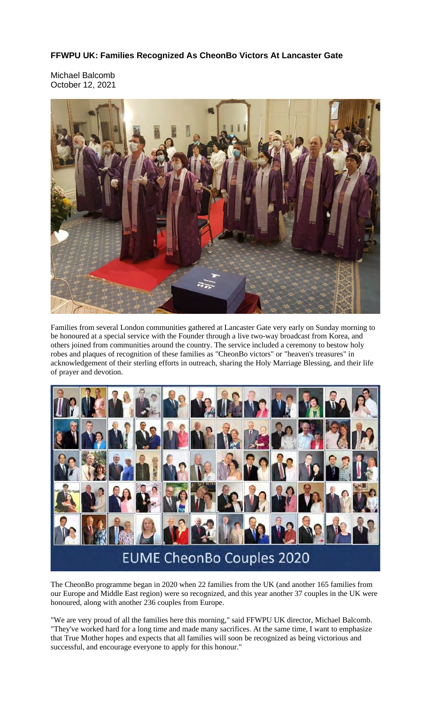## **FFWPU UK: Families Recognized As CheonBo Victors At Lancaster Gate**

Michael Balcomb October 12, 2021



Families from several London communities gathered at Lancaster Gate very early on Sunday morning to be honoured at a special service with the Founder through a live two-way broadcast from Korea, and others joined from communities around the country. The service included a ceremony to bestow holy robes and plaques of recognition of these families as "CheonBo victors" or "heaven's treasures" in acknowledgement of their sterling efforts in outreach, sharing the Holy Marriage Blessing, and their life of prayer and devotion.



## **EUME CheonBo Couples 2020**

The CheonBo programme began in 2020 when 22 families from the UK (and another 165 families from our Europe and Middle East region) were so recognized, and this year another 37 couples in the UK were honoured, along with another 236 couples from Europe.

"We are very proud of all the families here this morning," said FFWPU UK director, Michael Balcomb. "They've worked hard for a long time and made many sacrifices. At the same time, I want to emphasize that True Mother hopes and expects that all families will soon be recognized as being victorious and successful, and encourage everyone to apply for this honour."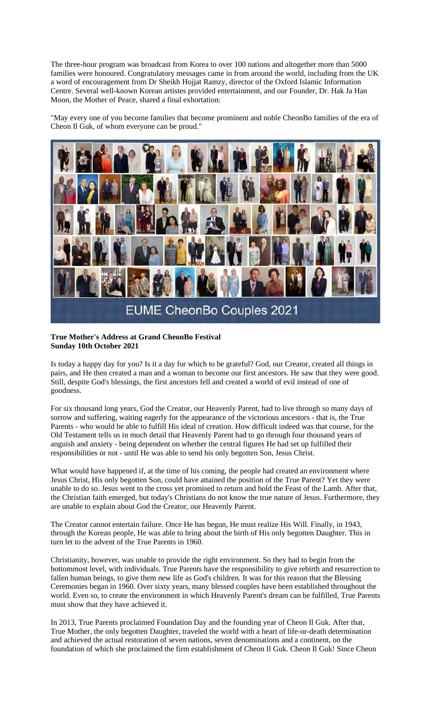The three-hour program was broadcast from Korea to over 100 nations and altogether more than 5000 families were honoured. Congratulatory messages came in from around the world, including from the UK a word of encouragement from Dr Sheikh Hojjat Ramzy, director of the Oxford Islamic Information Centre. Several well-known Korean artistes provided entertainment, and our Founder, Dr. Hak Ja Han Moon, the Mother of Peace, shared a final exhortation:

"May every one of you become families that become prominent and noble CheonBo families of the era of Cheon Il Guk, of whom everyone can be proud."



## **True Mother's Address at Grand CheonBo Festival Sunday 10th October 2021**

Is today a happy day for you? Is it a day for which to be grateful? God, our Creator, created all things in pairs, and He then created a man and a woman to become our first ancestors. He saw that they were good. Still, despite God's blessings, the first ancestors fell and created a world of evil instead of one of goodness.

For six thousand long years, God the Creator, our Heavenly Parent, had to live through so many days of sorrow and suffering, waiting eagerly for the appearance of the victorious ancestors - that is, the True Parents - who would be able to fulfill His ideal of creation. How difficult indeed was that course, for the Old Testament tells us in much detail that Heavenly Parent had to go through four thousand years of anguish and anxiety - being dependent on whether the central figures He had set up fulfilled their responsibilities or not - until He was able to send his only begotten Son, Jesus Christ.

What would have happened if, at the time of his coming, the people had created an environment where Jesus Christ, His only begotten Son, could have attained the position of the True Parent? Yet they were unable to do so. Jesus went to the cross yet promised to return and hold the Feast of the Lamb. After that, the Christian faith emerged, but today's Christians do not know the true nature of Jesus. Furthermore, they are unable to explain about God the Creator, our Heavenly Parent.

The Creator cannot entertain failure. Once He has begun, He must realize His Will. Finally, in 1943, through the Korean people, He was able to bring about the birth of His only begotten Daughter. This in turn let to the advent of the True Parents in 1960.

Christianity, however, was unable to provide the right environment. So they had to begin from the bottommost level, with individuals. True Parents have the responsibility to give rebirth and resurrection to fallen human beings, to give them new life as God's children. It was for this reason that the Blessing Ceremonies began in 1960. Over sixty years, many blessed couples have been established throughout the world. Even so, to create the environment in which Heavenly Parent's dream can be fulfilled, True Parents must show that they have achieved it.

In 2013, True Parents proclaimed Foundation Day and the founding year of Cheon Il Guk. After that, True Mother, the only begotten Daughter, traveled the world with a heart of life-or-death determination and achieved the actual restoration of seven nations, seven denominations and a continent, on the foundation of which she proclaimed the firm establishment of Cheon Il Guk. Cheon Il Guk! Since Cheon